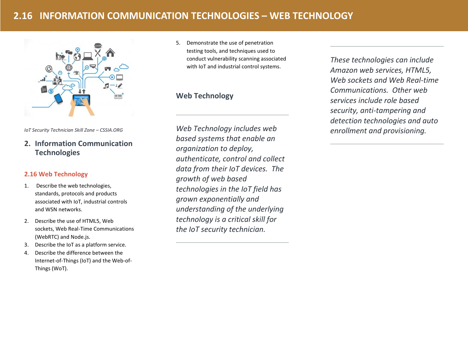# **2.16 INFORMATION COMMUNICATION TECHNOLOGIES – WEB TECHNOLOGY**



*IoT Security Technician Skill Zone – CSSIA.ORG*

# **2. Information Communication Technologies**

## **2.16 Web Technology**

- 1. Describe the web technologies, standards, protocols and products associated with IoT, industrial controls and WSN networks.
- 2. Describe the use of HTML5, Web sockets, Web Real-Time Communications (WebRTC) and Node.js.
- 3. Describe the IoT as a platform service.
- 4. Describe the difference between the Internet-of-Things (IoT) and the Web-of-Things (WoT).

5. Demonstrate the use of penetration testing tools, and techniques used to conduct vulnerability scanning associated with IoT and industrial control systems.

## **Web Technology**

*Web Technology includes web based systems that enable an organization to deploy, authenticate, control and collect data from their IoT devices. The growth of web based technologies in the IoT field has grown exponentially and understanding of the underlying technology is a critical skill for the IoT security technician.* 

*These technologies can include Amazon web services, HTML5, Web sockets and Web Real-time Communications. Other web services include role based security, anti-tampering and detection technologies and auto enrollment and provisioning.*